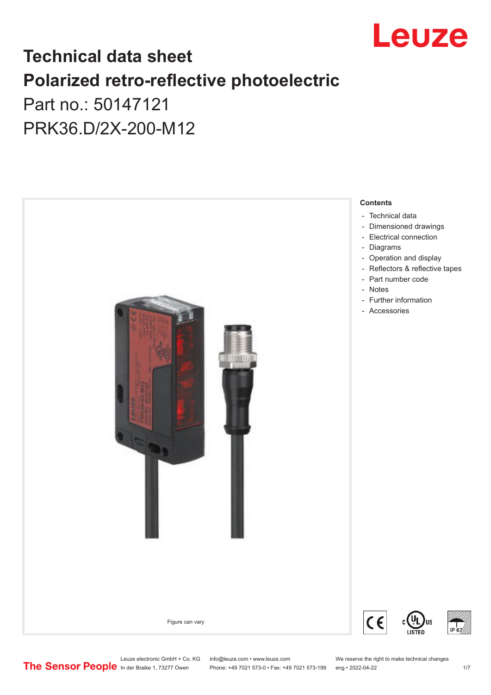

## **Technical data sheet Polarized retro-reflective photoelectric**  Part no.: 50147121

PRK36.D/2X-200-M12



Leuze electronic GmbH + Co. KG info@leuze.com • www.leuze.com We reserve the right to make technical changes<br>
The Sensor People in der Braike 1, 73277 Owen Phone: +49 7021 573-0 • Fax: +49 7021 573-199 eng • 2022-04-22

Phone: +49 7021 573-0 • Fax: +49 7021 573-199 eng • 2022-04-22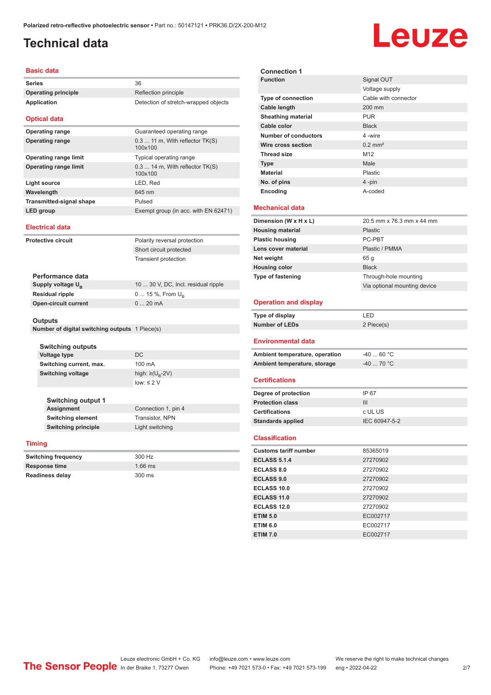#### <span id="page-1-0"></span>**Technical data**

# Leuze

#### **Basic data**

| <b>Series</b>                   |                               | 36                                           |
|---------------------------------|-------------------------------|----------------------------------------------|
| <b>Operating principle</b>      |                               | Reflection principle                         |
| Application                     |                               | Detection of stretch-wrapped objects         |
|                                 | <b>Optical data</b>           |                                              |
|                                 | <b>Operating range</b>        | Guaranteed operating range                   |
|                                 | <b>Operating range</b>        | 0.3  11 m, With reflector TK(S)<br>100x100   |
|                                 | <b>Operating range limit</b>  | Typical operating range                      |
|                                 | <b>Operating range limit</b>  | $0.314$ m, With reflector $TK(S)$<br>100x100 |
| <b>Light source</b>             |                               | LED, Red                                     |
|                                 | Wavelength                    | 645 nm                                       |
| <b>Transmitted-signal shape</b> |                               | Pulsed                                       |
| LED group                       |                               | Exempt group (in acc. with EN 62471)         |
| <b>Electrical data</b>          |                               |                                              |
|                                 | Protective circuit            | Polarity reversal protection                 |
|                                 |                               | Short circuit protected                      |
|                                 |                               | <b>Transient protection</b>                  |
|                                 |                               |                                              |
|                                 | Performance data              |                                              |
|                                 | Supply voltage U <sub>B</sub> | 10  30 V, DC, Incl. residual ripple          |
|                                 | <b>Residual ripple</b>        | $0 15 \%$ , From $U_{\rm B}$                 |
|                                 | <b>Open-circuit current</b>   | 020mA                                        |

#### **Outputs**

|  | Number of digital switching outputs 1 Piece(s) |  |  |
|--|------------------------------------------------|--|--|
|--|------------------------------------------------|--|--|

| <b>Switching outputs</b><br><b>Voltage type</b> | DC.                              |  |
|-------------------------------------------------|----------------------------------|--|
| Switching current, max.                         | 100 mA                           |  |
| <b>Switching voltage</b>                        | high: $\geq (U_{\text{B}} - 2V)$ |  |
|                                                 | $low: \leq 2$ V                  |  |
| <b>Switching output 1</b>                       |                                  |  |

**Assignment** Connection 1, pin 4 **Switching element** Transistor, NPN **Switching principle** Light switching

#### **Timing**

| <b>Switching frequency</b> | 300 Hz    |
|----------------------------|-----------|
| <b>Response time</b>       | $1.66$ ms |
| <b>Readiness delay</b>     | 300 ms    |

| <b>Connection 1</b>                                      |                              |
|----------------------------------------------------------|------------------------------|
| <b>Function</b>                                          | Signal OUT                   |
|                                                          | Voltage supply               |
| <b>Type of connection</b>                                | Cable with connector         |
| <b>Cable length</b>                                      | 200 mm                       |
| <b>Sheathing material</b>                                | <b>PUR</b>                   |
| Cable color                                              | <b>Black</b>                 |
| <b>Number of conductors</b>                              | 4-wire                       |
| Wire cross section                                       | $0.2$ mm <sup>2</sup>        |
| <b>Thread size</b>                                       | M <sub>12</sub>              |
| <b>Type</b>                                              | Male                         |
| <b>Material</b>                                          | Plastic                      |
| No. of pins                                              | $4 - pin$                    |
| Encoding                                                 | A-coded                      |
|                                                          |                              |
| Mechanical data                                          |                              |
| Dimension (W x H x L)                                    | 20.5 mm x 76.3 mm x 44 mm    |
| <b>Housing material</b>                                  | Plastic                      |
| <b>Plastic housing</b>                                   | PC-PBT                       |
| Lens cover material                                      | Plastic / PMMA               |
| Net weight                                               | 65 g                         |
| <b>Housing color</b>                                     | <b>Black</b>                 |
| Type of fastening                                        | Through-hole mounting        |
|                                                          | Via optional mounting device |
|                                                          |                              |
| <b>Operation and display</b>                             |                              |
| Type of display                                          | LED                          |
| <b>Number of LEDs</b>                                    | 2 Piece(s)                   |
| Environmental data                                       |                              |
| Ambient temperature, operation                           | $-40$ 60 °C                  |
| Ambient temperature, storage                             | $-40$ 70 °C                  |
|                                                          |                              |
| <b>Certifications</b>                                    |                              |
| Degree of protection                                     | IP 67                        |
| <b>Protection class</b>                                  | III                          |
| <b>Certifications</b>                                    | c UL US                      |
| <b>Standards applied</b>                                 | IEC 60947-5-2                |
|                                                          |                              |
| <b>Classification</b>                                    |                              |
| <b>Customs tariff number</b>                             | 85365019                     |
| <b>ECLASS 5.1.4</b>                                      | 27270902                     |
| <b>ECLASS 8.0</b>                                        | 27270902                     |
| <b>ECLASS 9.0</b>                                        |                              |
|                                                          | 27270902                     |
| <b>ECLASS 10.0</b>                                       | 27270902                     |
| <b>ECLASS 11.0</b>                                       | 27270902                     |
|                                                          | 27270902                     |
|                                                          | EC002717                     |
| <b>ETIM 6.0</b>                                          | EC002717                     |
| <b>ECLASS 12.0</b><br><b>ETIM 5.0</b><br><b>ETIM 7.0</b> | EC002717                     |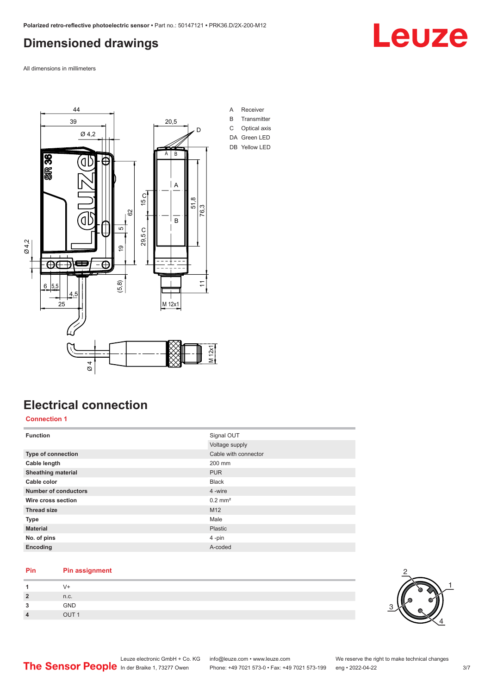#### <span id="page-2-0"></span>**Dimensioned drawings**

Leuze

All dimensions in millimeters



## **Electrical connection**

#### **Connection 1**

| <b>Function</b>           | Signal OUT            |
|---------------------------|-----------------------|
|                           | Voltage supply        |
| Type of connection        | Cable with connector  |
| Cable length              | 200 mm                |
| <b>Sheathing material</b> | <b>PUR</b>            |
| Cable color               | <b>Black</b>          |
| Number of conductors      | 4 -wire               |
| Wire cross section        | $0.2$ mm <sup>2</sup> |
| <b>Thread size</b>        | M12                   |
| <b>Type</b>               | Male                  |
| <b>Material</b>           | Plastic               |
| No. of pins               | 4-pin                 |
| Encoding                  | A-coded               |

#### **Pin Pin assignment**

| 2                    | n.c.              |
|----------------------|-------------------|
| $\ddot{\phantom{0}}$ | GND               |
| $\overline{a}$       | $\overline{1}$ IT |

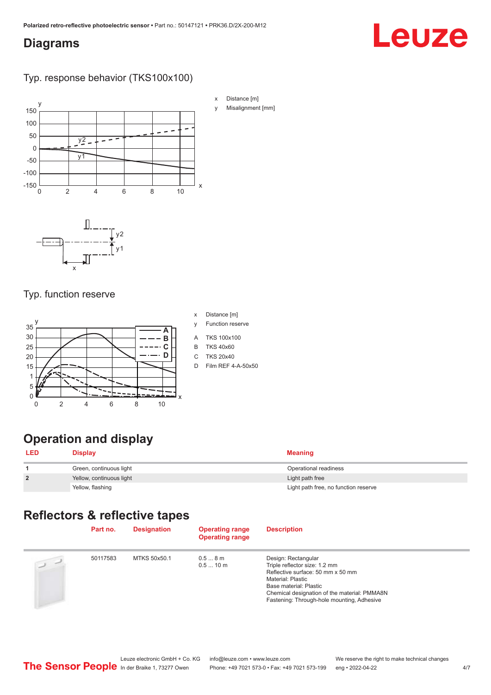#### <span id="page-3-0"></span>**Diagrams**

# Leuze

#### Typ. response behavior (TKS100x100)



#### Typ. function reserve



- x Distance [m]
- y Function reserve
- A TKS 100x100
- B TKS 40x60
- C TKS 20x40
- D Film REF 4-A-50x50

## **Operation and display**

| <b>LED</b>     | <b>Display</b>           | Meaning                              |
|----------------|--------------------------|--------------------------------------|
|                | Green, continuous light  | Operational readiness                |
| $\overline{2}$ | Yellow, continuous light | Light path free                      |
|                | Yellow, flashing         | Light path free, no function reserve |

## **Reflectors & reflective tapes**

|                                        | Part no. | <b>Designation</b> | <b>Operating range</b><br><b>Operating range</b> | <b>Description</b>                                                                                                                                                                                                                            |
|----------------------------------------|----------|--------------------|--------------------------------------------------|-----------------------------------------------------------------------------------------------------------------------------------------------------------------------------------------------------------------------------------------------|
| $\begin{array}{c} \square \end{array}$ | 50117583 | MTKS 50x50.1       | 0.58m<br>0.510 m                                 | Design: Rectangular<br>Triple reflector size: 1.2 mm<br>Reflective surface: 50 mm x 50 mm<br><b>Material: Plastic</b><br>Base material: Plastic<br>Chemical designation of the material: PMMA8N<br>Fastening: Through-hole mounting, Adhesive |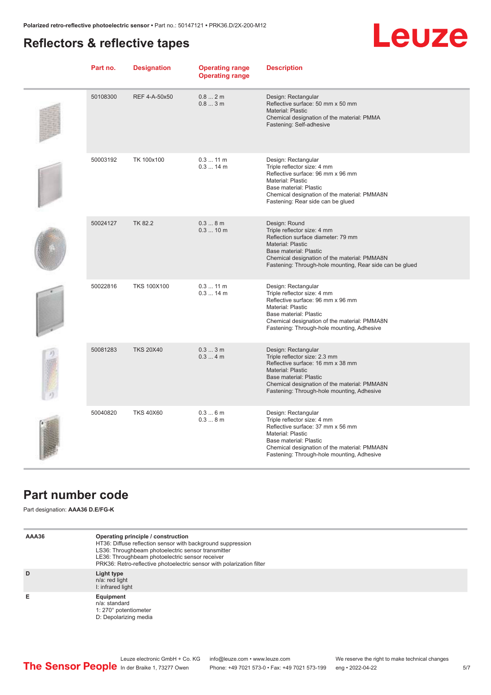## <span id="page-4-0"></span>**Reflectors & reflective tapes**



| Part no. | <b>Designation</b> | <b>Operating range</b><br><b>Operating range</b> | <b>Description</b>                                                                                                                                                                                                                                   |
|----------|--------------------|--------------------------------------------------|------------------------------------------------------------------------------------------------------------------------------------------------------------------------------------------------------------------------------------------------------|
| 50108300 | REF 4-A-50x50      | 0.82m<br>0.83m                                   | Design: Rectangular<br>Reflective surface: 50 mm x 50 mm<br>Material: Plastic<br>Chemical designation of the material: PMMA<br>Fastening: Self-adhesive                                                                                              |
| 50003192 | TK 100x100         | 0.311 m<br>$0.314$ m                             | Design: Rectangular<br>Triple reflector size: 4 mm<br>Reflective surface: 96 mm x 96 mm<br>Material: Plastic<br>Base material: Plastic<br>Chemical designation of the material: PMMA8N<br>Fastening: Rear side can be glued                          |
| 50024127 | <b>TK 82.2</b>     | 0.38m<br>0.310 m                                 | Design: Round<br>Triple reflector size: 4 mm<br>Reflection surface diameter: 79 mm<br><b>Material: Plastic</b><br>Base material: Plastic<br>Chemical designation of the material: PMMA8N<br>Fastening: Through-hole mounting, Rear side can be glued |
| 50022816 | <b>TKS 100X100</b> | $0.311$ m<br>$0.314$ m                           | Design: Rectangular<br>Triple reflector size: 4 mm<br>Reflective surface: 96 mm x 96 mm<br>Material: Plastic<br>Base material: Plastic<br>Chemical designation of the material: PMMA8N<br>Fastening: Through-hole mounting, Adhesive                 |
| 50081283 | <b>TKS 20X40</b>   | $0.33$ m<br>0.34m                                | Design: Rectangular<br>Triple reflector size: 2.3 mm<br>Reflective surface: 16 mm x 38 mm<br>Material: Plastic<br><b>Base material: Plastic</b><br>Chemical designation of the material: PMMA8N<br>Fastening: Through-hole mounting, Adhesive        |
| 50040820 | <b>TKS 40X60</b>   | 0.36m<br>0.38m                                   | Design: Rectangular<br>Triple reflector size: 4 mm<br>Reflective surface: 37 mm x 56 mm<br><b>Material: Plastic</b><br>Base material: Plastic<br>Chemical designation of the material: PMMA8N<br>Fastening: Through-hole mounting, Adhesive          |

#### **Part number code**

Part designation: **AAA36 D.E/FG-K**

| AAA36 | Operating principle / construction<br>HT36: Diffuse reflection sensor with background suppression<br>LS36: Throughbeam photoelectric sensor transmitter<br>LE36: Throughbeam photoelectric sensor receiver<br>PRK36: Retro-reflective photoelectric sensor with polarization filter |
|-------|-------------------------------------------------------------------------------------------------------------------------------------------------------------------------------------------------------------------------------------------------------------------------------------|
| D     | Light type<br>n/a: red light<br>I: infrared light                                                                                                                                                                                                                                   |
| Е     | Equipment<br>n/a: standard<br>1: 270° potentiometer<br>D: Depolarizing media                                                                                                                                                                                                        |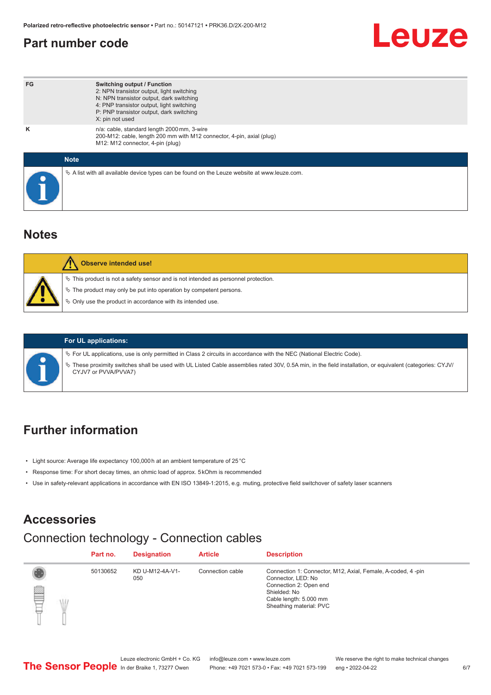#### <span id="page-5-0"></span>**Part number code**



| FG          | <b>Switching output / Function</b><br>2: NPN transistor output, light switching<br>N: NPN transistor output, dark switching<br>4: PNP transistor output, light switching<br>P: PNP transistor output, dark switching<br>X: pin not used |
|-------------|-----------------------------------------------------------------------------------------------------------------------------------------------------------------------------------------------------------------------------------------|
| ĸ           | n/a: cable, standard length 2000 mm, 3-wire<br>200-M12: cable, length 200 mm with M12 connector, 4-pin, axial (plug)<br>M12: M12 connector, 4-pin (plug)                                                                                |
| <b>Note</b> |                                                                                                                                                                                                                                         |
|             | $\&$ A list with all available device types can be found on the Leuze website at www.leuze.com.                                                                                                                                         |

#### **Notes**

| Observe intended use!                                                                                                                                                                                                         |
|-------------------------------------------------------------------------------------------------------------------------------------------------------------------------------------------------------------------------------|
| $\%$ This product is not a safety sensor and is not intended as personnel protection.<br>$\%$ The product may only be put into operation by competent persons.<br>♦ Only use the product in accordance with its intended use. |



#### **For UL applications:**

ª For UL applications, use is only permitted in Class 2 circuits in accordance with the NEC (National Electric Code).

ª These proximity switches shall be used with UL Listed Cable assemblies rated 30V, 0.5A min, in the field installation, or equivalent (categories: CYJV/ CYJV7 or PVVA/PVVA7)

## **Further information**

- Light source: Average life expectancy 100,000 h at an ambient temperature of 25 °C
- Response time: For short decay times, an ohmic load of approx. 5 kOhm is recommended
- Use in safety-relevant applications in accordance with EN ISO 13849-1:2015, e.g. muting, protective field switchover of safety laser scanners

#### **Accessories**

#### Connection technology - Connection cables

|        | Part no. | <b>Designation</b>     | <b>Article</b>   | <b>Description</b>                                                                                                                                                               |
|--------|----------|------------------------|------------------|----------------------------------------------------------------------------------------------------------------------------------------------------------------------------------|
| ₿<br>Ŵ | 50130652 | KD U-M12-4A-V1-<br>050 | Connection cable | Connection 1: Connector, M12, Axial, Female, A-coded, 4-pin<br>Connector, LED: No<br>Connection 2: Open end<br>Shielded: No<br>Cable length: 5.000 mm<br>Sheathing material: PVC |